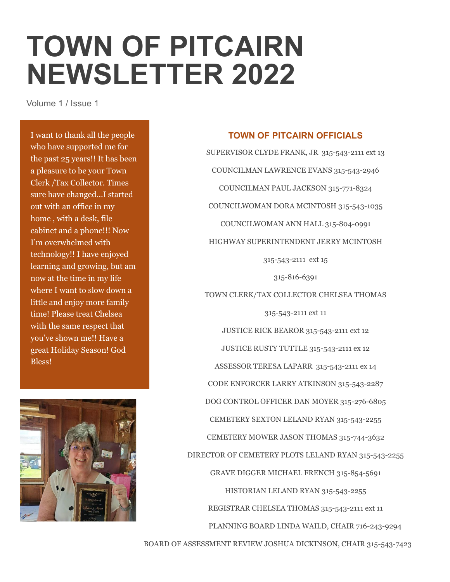## **TOWN OF PITCAIRN NEWSLETTER 2022**

Volume 1 / Issue 1

I want to thank all the people who have supported me for the past 25 years!! It has been a pleasure to be your Town Clerk /Tax Collector. Times sure have changed…I started out with an office in my home , with a desk, file cabinet and a phone!!! Now I'm overwhelmed with technology!! I have enjoyed learning and growing, but am now at the time in my life where I want to slow down a little and enjoy more family time! Please treat Chelsea with the same respect that you've shown me!! Have a great Holiday Season! God Bless!



## **TOWN OF PITCAIRN OFFICIALS**

SUPERVISOR CLYDE FRANK, JR 315-543-2111 ext 13 COUNCILMAN LAWRENCE EVANS 315-543-2946 COUNCILMAN PAUL JACKSON 315-771-8324 COUNCILWOMAN DORA MCINTOSH 315-543-1035 COUNCILWOMAN ANN HALL 315-804-0991 HIGHWAY SUPERINTENDENT JERRY MCINTOSH 315-543-2111 ext 15 315-816-6391 TOWN CLERK/TAX COLLECTOR CHELSEA THOMAS 315-543-2111 ext 11 JUSTICE RICK BEAROR 315-543-2111 ext 12 JUSTICE RUSTY TUTTLE 315-543-2111 ex 12 ASSESSOR TERESA LAPARR 315-543-2111 ex 14 CODE ENFORCER LARRY ATKINSON 315-543-2287 DOG CONTROL OFFICER DAN MOYER 315-276-6805 CEMETERY SEXTON LELAND RYAN 315-543-2255 CEMETERY MOWER JASON THOMAS 315-744-3632 DIRECTOR OF CEMETERY PLOTS LELAND RYAN 315-543-2255 GRAVE DIGGER MICHAEL FRENCH 315-854-5691 HISTORIAN LELAND RYAN 315-543-2255 REGISTRAR CHELSEA THOMAS 315-543-2111 ext 11 PLANNING BOARD LINDA WAILD, CHAIR 716-243-9294 BOARD OF ASSESSMENT REVIEW JOSHUA DICKINSON, CHAIR 315-543-7423